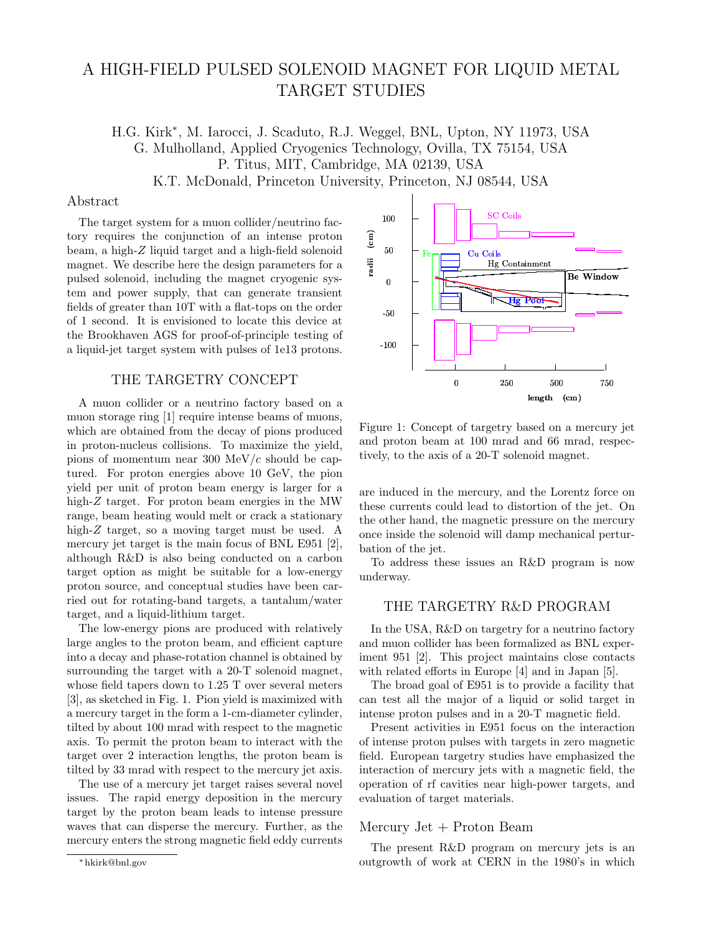# A HIGH-FIELD PULSED SOLENOID MAGNET FOR LIQUID METAL TARGET STUDIES

H.G. Kirk<sup>∗</sup> , M. Iarocci, J. Scaduto, R.J. Weggel, BNL, Upton, NY 11973, USA G. Mulholland, Applied Cryogenics Technology, Ovilla, TX 75154, USA P. Titus, MIT, Cambridge, MA 02139, USA K.T. McDonald, Princeton University, Princeton, NJ 08544, USA

#### Abstract

The target system for a muon collider/neutrino factory requires the conjunction of an intense proton beam, a high-Z liquid target and a high-field solenoid magnet. We describe here the design parameters for a pulsed solenoid, including the magnet cryogenic system and power supply, that can generate transient fields of greater than 10T with a flat-tops on the order of 1 second. It is envisioned to locate this device at the Brookhaven AGS for proof-of-principle testing of a liquid-jet target system with pulses of 1e13 protons.

## THE TARGETRY CONCEPT

A muon collider or a neutrino factory based on a muon storage ring [1] require intense beams of muons, which are obtained from the decay of pions produced in proton-nucleus collisions. To maximize the yield, pions of momentum near 300 MeV/ $c$  should be captured. For proton energies above 10 GeV, the pion yield per unit of proton beam energy is larger for a high-Z target. For proton beam energies in the MW range, beam heating would melt or crack a stationary high-Z target, so a moving target must be used. A mercury jet target is the main focus of BNL E951 [2], although R&D is also being conducted on a carbon target option as might be suitable for a low-energy proton source, and conceptual studies have been carried out for rotating-band targets, a tantalum/water target, and a liquid-lithium target.

The low-energy pions are produced with relatively large angles to the proton beam, and efficient capture into a decay and phase-rotation channel is obtained by surrounding the target with a 20-T solenoid magnet, whose field tapers down to 1.25 T over several meters [3], as sketched in Fig. 1. Pion yield is maximized with a mercury target in the form a 1-cm-diameter cylinder, tilted by about 100 mrad with respect to the magnetic axis. To permit the proton beam to interact with the target over 2 interaction lengths, the proton beam is tilted by 33 mrad with respect to the mercury jet axis.

The use of a mercury jet target raises several novel issues. The rapid energy deposition in the mercury target by the proton beam leads to intense pressure waves that can disperse the mercury. Further, as the mercury enters the strong magnetic field eddy currents



Figure 1: Concept of targetry based on a mercury jet and proton beam at 100 mrad and 66 mrad, respectively, to the axis of a 20-T solenoid magnet.

are induced in the mercury, and the Lorentz force on these currents could lead to distortion of the jet. On the other hand, the magnetic pressure on the mercury once inside the solenoid will damp mechanical perturbation of the jet.

To address these issues an R&D program is now underway.

# THE TARGETRY R&D PROGRAM

In the USA, R&D on targetry for a neutrino factory and muon collider has been formalized as BNL experiment 951 [2]. This project maintains close contacts with related efforts in Europe [4] and in Japan [5].

The broad goal of E951 is to provide a facility that can test all the major of a liquid or solid target in intense proton pulses and in a 20-T magnetic field.

Present activities in E951 focus on the interaction of intense proton pulses with targets in zero magnetic field. European targetry studies have emphasized the interaction of mercury jets with a magnetic field, the operation of rf cavities near high-power targets, and evaluation of target materials.

### Mercury Jet + Proton Beam

The present R&D program on mercury jets is an outgrowth of work at CERN in the 1980's in which

<sup>∗</sup> hkirk@bnl.gov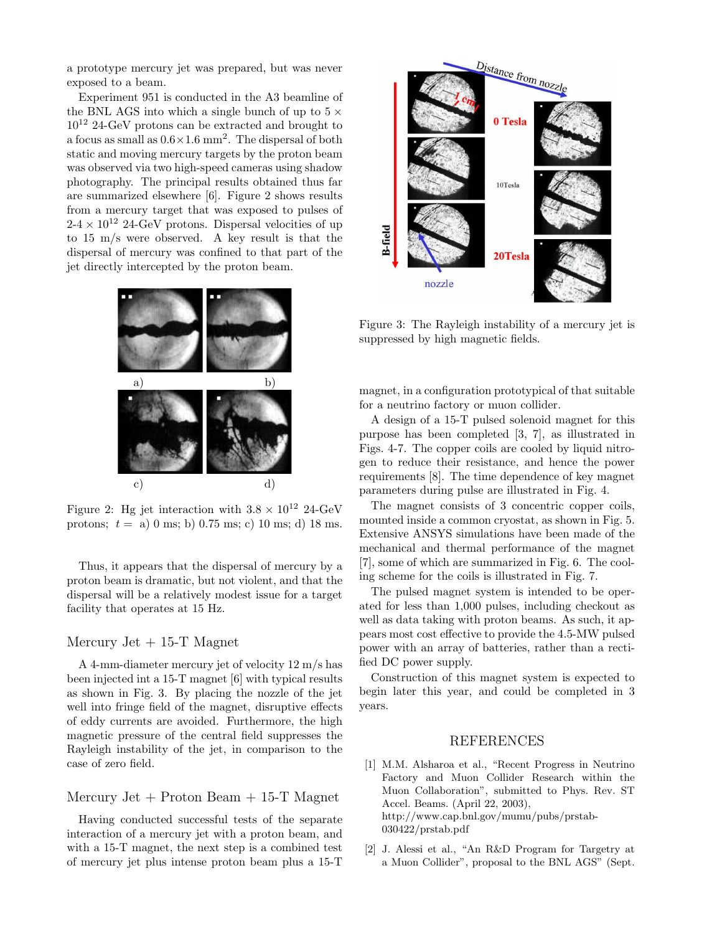a prototype mercury jet was prepared, but was never exposed to a beam.

Experiment 951 is conducted in the A3 beamline of the BNL AGS into which a single bunch of up to  $5 \times$  $10^{12}$  24-GeV protons can be extracted and brought to a focus as small as  $0.6 \times 1.6$  mm<sup>2</sup>. The dispersal of both static and moving mercury targets by the proton beam was observed via two high-speed cameras using shadow photography. The principal results obtained thus far are summarized elsewhere [6]. Figure 2 shows results from a mercury target that was exposed to pulses of  $2-4 \times 10^{12}$  24-GeV protons. Dispersal velocities of up to 15 m/s were observed. A key result is that the dispersal of mercury was confined to that part of the jet directly intercepted by the proton beam.



Figure 2: Hg jet interaction with  $3.8 \times 10^{12}$  24-GeV protons;  $t = a$ ) 0 ms; b) 0.75 ms; c) 10 ms; d) 18 ms.

Thus, it appears that the dispersal of mercury by a proton beam is dramatic, but not violent, and that the dispersal will be a relatively modest issue for a target facility that operates at 15 Hz.

## Mercury Jet  $+15$ -T Magnet

A 4-mm-diameter mercury jet of velocity 12 m/s has been injected int a 15-T magnet [6] with typical results as shown in Fig. 3. By placing the nozzle of the jet well into fringe field of the magnet, disruptive effects of eddy currents are avoided. Furthermore, the high magnetic pressure of the central field suppresses the Rayleigh instability of the jet, in comparison to the case of zero field.

Mercury Jet  $+$  Proton Beam  $+$  15-T Magnet

Having conducted successful tests of the separate interaction of a mercury jet with a proton beam, and with a 15-T magnet, the next step is a combined test of mercury jet plus intense proton beam plus a 15-T



Figure 3: The Rayleigh instability of a mercury jet is suppressed by high magnetic fields.

magnet, in a configuration prototypical of that suitable for a neutrino factory or muon collider.

A design of a 15-T pulsed solenoid magnet for this purpose has been completed [3, 7], as illustrated in Figs. 4-7. The copper coils are cooled by liquid nitrogen to reduce their resistance, and hence the power requirements [8]. The time dependence of key magnet parameters during pulse are illustrated in Fig. 4.

The magnet consists of 3 concentric copper coils, mounted inside a common cryostat, as shown in Fig. 5. Extensive ANSYS simulations have been made of the mechanical and thermal performance of the magnet [7], some of which are summarized in Fig. 6. The cooling scheme for the coils is illustrated in Fig. 7.

The pulsed magnet system is intended to be operated for less than 1,000 pulses, including checkout as well as data taking with proton beams. As such, it appears most cost effective to provide the 4.5-MW pulsed power with an array of batteries, rather than a rectified DC power supply.

Construction of this magnet system is expected to begin later this year, and could be completed in 3 years.

## REFERENCES

- [1] M.M. Alsharoa et al., "Recent Progress in Neutrino Factory and Muon Collider Research within the Muon Collaboration", submitted to Phys. Rev. ST Accel. Beams. (April 22, 2003), http://www.cap.bnl.gov/mumu/pubs/prstab-030422/prstab.pdf
- [2] J. Alessi et al., "An R&D Program for Targetry at a Muon Collider", proposal to the BNL AGS" (Sept.